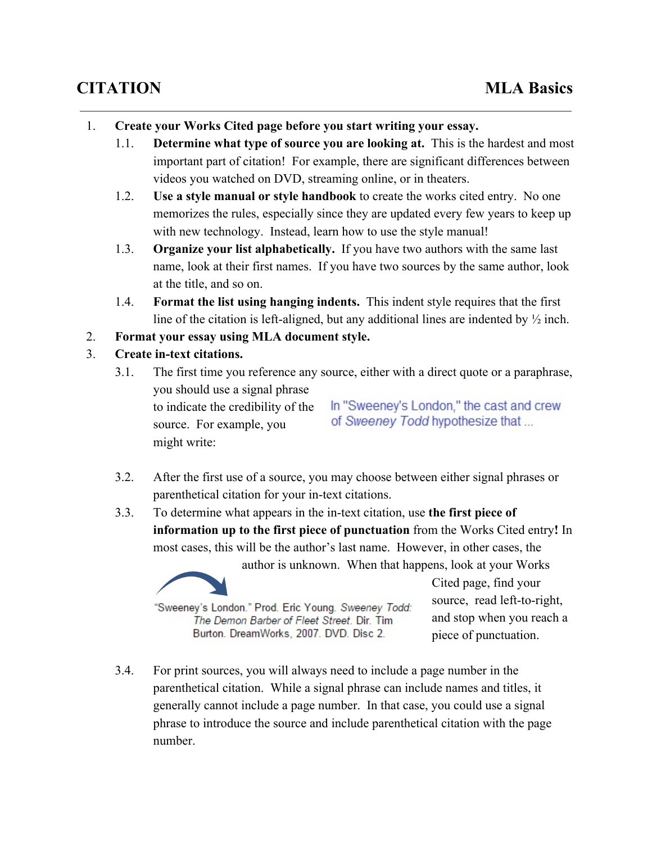- 1. **Create your Works Cited page before you start writing your essay.**
	- 1.1. **Determine what type of source you are looking at.** This is the hardest and most important part of citation! For example, there are significant differences between videos you watched on DVD, streaming online, or in theaters.
	- 1.2. **Use a style manual or style handbook**to create the works cited entry. No one memorizes the rules, especially since they are updated every few years to keep up with new technology. Instead, learn how to use the style manual!
	- 1.3. **Organize your list alphabetically.**If you have two authors with the same last name, look at their first names. If you have two sources by the same author, look at the title, and so on.
	- 1.4. **Format the list using hanging indents.** This indent style requires that the first line of the citation is left-aligned, but any additional lines are indented by  $\frac{1}{2}$  inch.
- 2. **Format your essay using MLA document style.**
- 3. **Create intext citations.**
	- 3.1. The first time you reference any source, either with a direct quote or a paraphrase, you should use a signal phrase In "Sweeney's London." the cast and crew to indicate the credibility of the of Sweeney Todd hypothesize that ... source. For example, you might write:
	- 3.2. After the first use of a source, you may choose between either signal phrases or parenthetical citation for your in-text citations.
	- 3.3. To determine what appears in the in-text citation, use **the first piece of information up to the first piece of punctuation** from the Works Cited entry**!** In most cases, this will be the author's last name. However, in other cases, the

author is unknown. When that happens, look at your Works



"Sweeney's London." Prod. Eric Young. Sweeney Todd: The Demon Barber of Fleet Street. Dir. Tim Burton. DreamWorks, 2007. DVD. Disc 2.

Cited page, find your source, read left-to-right, and stop when you reach a piece of punctuation.

3.4. For print sources, you will always need to include a page number in the parenthetical citation. While a signal phrase can include names and titles, it generally cannot include a page number. In that case, you could use a signal phrase to introduce the source and include parenthetical citation with the page number.